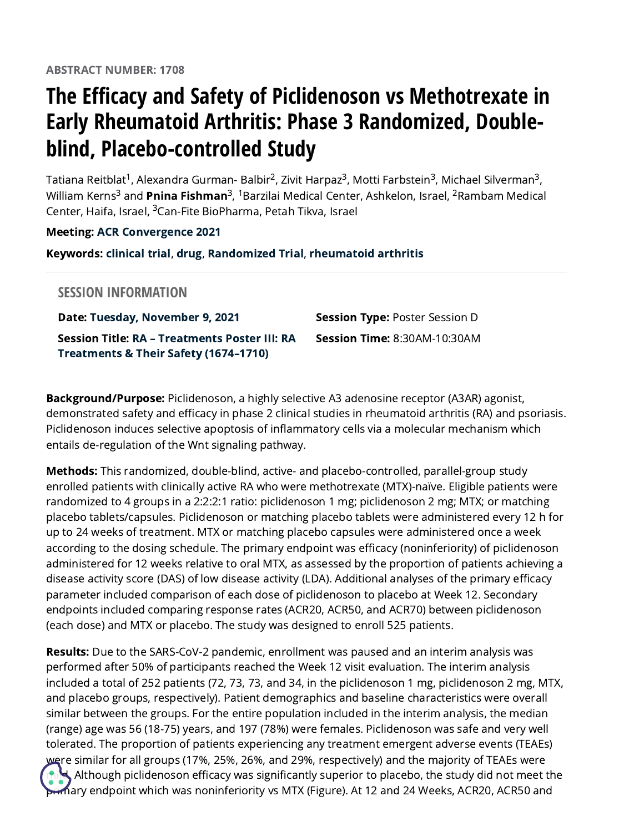## **The Efficacy and Safety of Piclidenoson vs Methotrexate in Early Rheumatoid Arthritis: Phase 3 Randomized, Doubleblind, Placebo-controlled Study**

Tatiana Reitblat<sup>1</sup>, Alexandra Gurman- Balbir<sup>2</sup>, Zivit Harpaz<sup>3</sup>, Motti Farbstein<sup>3</sup>, Michael Silverman<sup>3</sup>, William Kerns<sup>3</sup> and **Pnina Fishman**<sup>3</sup>, <sup>1</sup>Barzilai Medical Center, Ashkelon, Israel, <sup>2</sup>Rambam Medical Center, Haifa, Israel, <sup>3</sup>Can-Fite BioPharma, Petah Tikva, Israel

## Meeting: ACR [Convergence](https://acrabstracts.org/meetings/acr-convergence-2021/) 2021

Keywords: [clinical](https://acrabstracts.org/tag/clinical-trial/) trial, [drug](https://acrabstracts.org/tag/drug/), [Randomized](https://acrabstracts.org/tag/randomized-trial/) Trial, [rheumatoid](https://acrabstracts.org/tag/rheumatoid-arthritis/) arthritis

## **SESSION INFORMATION**

Date: Tuesday, [November](https://acrabstracts.org/meetings/acr-convergence-2021/?viewby=date&date=2021-11-09) 9, 2021 Session Title: RA – [Treatments](https://acrabstracts.org/sessions/ra-treatments-poster-iii-ra-treatments-their-safety-16741710-2021) Poster III: RA Treatments & Their Safety (1674–1710) **Session Type: Poster Session D** Session Time: 8:30AM-10:30AM

Background/Purpose: Piclidenoson, a highly selective A3 adenosine receptor (A3AR) agonist, demonstrated safety and efficacy in phase 2 clinical studies in rheumatoid arthritis (RA) and psoriasis. Piclidenoson induces selective apoptosis of inflammatory cells via a molecular mechanism which entails de-regulation of the Wnt signaling pathway.

Methods: This randomized, double-blind, active- and placebo-controlled, parallel-group study enrolled patients with clinically active RA who were methotrexate (MTX)-naïve. Eligible patients were randomized to 4 groups in a 2:2:2:1 ratio: piclidenoson 1 mg; piclidenoson 2 mg; MTX; or matching placebo tablets/capsules. Piclidenoson or matching placebo tablets were administered every 12 h for up to 24 weeks of treatment. MTX or matching placebo capsules were administered once a week according to the dosing schedule. The primary endpoint was efficacy (noninferiority) of piclidenoson administered for 12 weeks relative to oral MTX, as assessed by the proportion of patients achieving a disease activity score (DAS) of low disease activity (LDA). Additional analyses of the primary efficacy parameter included comparison of each dose of piclidenoson to placebo at Week 12. Secondary endpoints included comparing response rates (ACR20, ACR50, and ACR70) between piclidenoson (each dose) and MTX or placebo. The study was designed to enroll 525 patients.

Results: Due to the SARS-CoV-2 pandemic, enrollment was paused and an interim analysis was performed after 50% of participants reached the Week 12 visit evaluation. The interim analysis included a total of 252 patients (72, 73, 73, and 34, in the piclidenoson 1 mg, piclidenoson 2 mg, MTX, and placebo groups, respectively). Patient demographics and baseline characteristics were overall similar between the groups. For the entire population included in the interim analysis, the median (range) age was 56 (18-75) years, and 197 (78%) were females. Piclidenoson was safe and very well tolerated. The proportion of patients experiencing any treatment emergent adverse events (TEAEs) were similar for all groups (17%, 25%, 26%, and 29%, respectively) and the majority of TEAEs were Although piclidenoson efficacy was significantly superior to placebo, the study did not meet the  $n$ ary endpoint which was noninferiority vs MTX (Figure). At 12 and 24 Weeks, ACR20, ACR50 and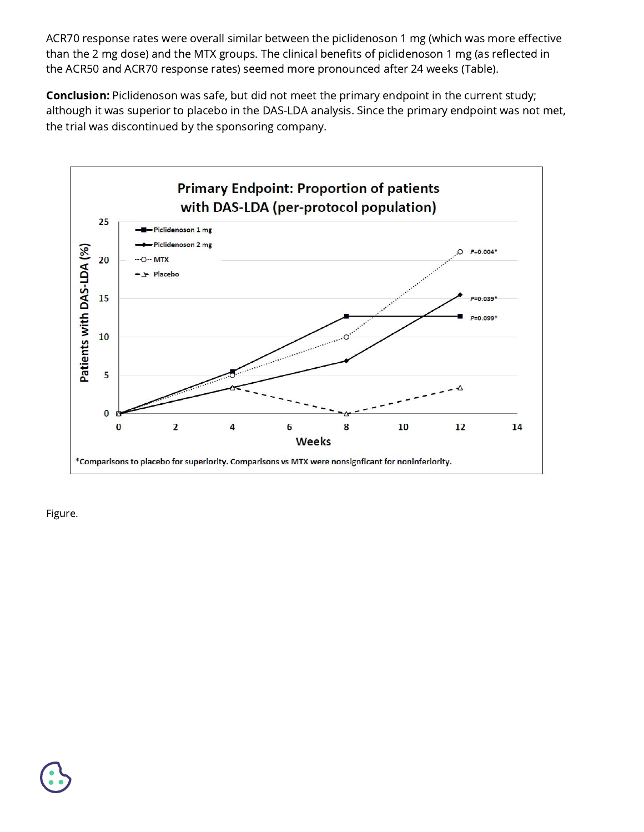ACR70 response rates were overall similar between the piclidenoson 1 mg (which was more effective than the 2 mg dose) and the MTX groups. The clinical benefits of piclidenoson 1 mg (as reflected in the ACR50 and ACR70 response rates) seemed more pronounced after 24 weeks (Table).

Conclusion: Piclidenoson was safe, but did not meet the primary endpoint in the current study; although it was superior to placebo in the DAS-LDA analysis. Since the primary endpoint was not met, the trial was discontinued by the sponsoring company.



Figure.